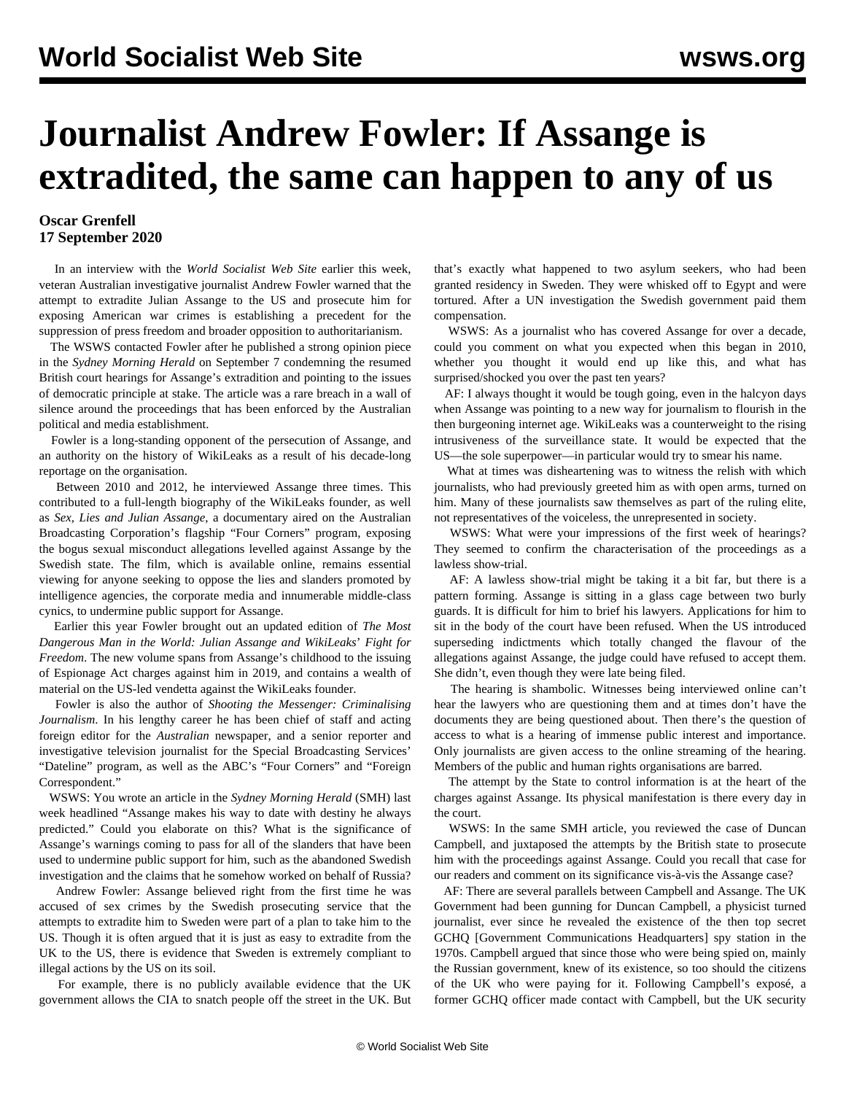## **Journalist Andrew Fowler: If Assange is extradited, the same can happen to any of us**

## **Oscar Grenfell 17 September 2020**

 In an interview with the *World Socialist Web Site* earlier this week, veteran Australian investigative journalist Andrew Fowler warned that the attempt to extradite Julian Assange to the US and prosecute him for exposing American war crimes is establishing a precedent for the suppression of press freedom and broader opposition to authoritarianism.

 The WSWS contacted Fowler after he published a strong [opinion piece](https://www.smh.com.au/world/europe/assange-makes-his-way-to-date-with-destiny-he-always-predicted-20200906-p55su5.html) in the *Sydney Morning Herald* on September 7 condemning the resumed British court hearings for Assange's extradition and pointing to the issues of democratic principle at stake. The article was a rare breach in a wall of silence around the proceedings that has been enforced by the Australian political and media establishment.

 Fowler is a long-standing opponent of the persecution of Assange, and an authority on the history of WikiLeaks as a result of his decade-long reportage on the organisation.

 Between 2010 and 2012, he interviewed Assange three times. This contributed to a full-length biography of the WikiLeaks founder, as well as *Sex, Lies and Julian Assange*, a documentary aired on the Australian Broadcasting Corporation's flagship "Four Corners" program, exposing the bogus sexual misconduct allegations levelled against Assange by the Swedish state. The film, which is [available online](https://www.youtube.com/watch?v=Yd7qxWma9CQ), remains essential viewing for anyone seeking to oppose the lies and slanders promoted by intelligence agencies, the corporate media and innumerable middle-class cynics, to undermine public support for Assange.

 Earlier this year Fowler brought out an updated edition of *[The](https://www.mup.com.au/books/the-most-dangerous-man-in-the-world-paperback-softback--1) [Most](https://www.mup.com.au/books/the-most-dangerous-man-in-the-world-paperback-softback--1) [Dangerous](https://www.mup.com.au/books/the-most-dangerous-man-in-the-world-paperback-softback--1) [Man](https://www.mup.com.au/books/the-most-dangerous-man-in-the-world-paperback-softback--1) [in](https://www.mup.com.au/books/the-most-dangerous-man-in-the-world-paperback-softback--1) [the](https://www.mup.com.au/books/the-most-dangerous-man-in-the-world-paperback-softback--1) [World:](https://www.mup.com.au/books/the-most-dangerous-man-in-the-world-paperback-softback--1) [Julian](https://www.mup.com.au/books/the-most-dangerous-man-in-the-world-paperback-softback--1) [Assange](https://www.mup.com.au/books/the-most-dangerous-man-in-the-world-paperback-softback--1) [and](https://www.mup.com.au/books/the-most-dangerous-man-in-the-world-paperback-softback--1) [WikiLeaks](https://www.mup.com.au/books/the-most-dangerous-man-in-the-world-paperback-softback--1)*['](https://www.mup.com.au/books/the-most-dangerous-man-in-the-world-paperback-softback--1) *[Fight](https://www.mup.com.au/books/the-most-dangerous-man-in-the-world-paperback-softback--1) [for](https://www.mup.com.au/books/the-most-dangerous-man-in-the-world-paperback-softback--1) [Freedom](https://www.mup.com.au/books/the-most-dangerous-man-in-the-world-paperback-softback--1)*. The new volume spans from Assange's childhood to the issuing of Espionage Act charges against him in 2019, and contains a wealth of material on the US-led vendetta against the WikiLeaks founder.

 Fowler is also the author of *Shooting the Messenger: Criminalising Journalism*. In his lengthy career he has been chief of staff and acting foreign editor for the *Australian* newspaper, and a senior reporter and investigative television journalist for the Special Broadcasting Services' "Dateline" program, as well as the ABC's "Four Corners" and "Foreign Correspondent."

 WSWS: You wrote an article in the *Sydney Morning Herald* (SMH) last week headlined "Assange makes his way to date with destiny he always predicted." Could you elaborate on this? What is the significance of Assange's warnings coming to pass for all of the slanders that have been used to undermine public support for him, such as the abandoned Swedish investigation and the claims that he somehow worked on behalf of Russia?

 Andrew Fowler: Assange believed right from the first time he was accused of sex crimes by the Swedish prosecuting service that the attempts to extradite him to Sweden were part of a plan to take him to the US. Though it is often argued that it is just as easy to extradite from the UK to the US, there is evidence that Sweden is extremely compliant to illegal actions by the US on its soil.

 For example, there is no publicly available evidence that the UK government allows the CIA to snatch people off the street in the UK. But that's exactly what happened to two asylum seekers, who had been granted residency in Sweden. They were whisked off to Egypt and were tortured. After a UN investigation the Swedish government paid them compensation.

 WSWS: As a journalist who has covered Assange for over a decade, could you comment on what you expected when this began in 2010, whether you thought it would end up like this, and what has surprised/shocked you over the past ten years?

 AF: I always thought it would be tough going, even in the halcyon days when Assange was pointing to a new way for journalism to flourish in the then burgeoning internet age. WikiLeaks was a counterweight to the rising intrusiveness of the surveillance state. It would be expected that the US—the sole superpower—in particular would try to smear his name.

 What at times was disheartening was to witness the relish with which journalists, who had previously greeted him as with open arms, turned on him. Many of these journalists saw themselves as part of the ruling elite, not representatives of the voiceless, the unrepresented in society.

 WSWS: What were your impressions of the first week of hearings? They seemed to confirm the characterisation of the proceedings as a lawless show-trial.

 AF: A lawless show-trial might be taking it a bit far, but there is a pattern forming. Assange is sitting in a glass cage between two burly guards. It is difficult for him to brief his lawyers. Applications for him to sit in the body of the court have been refused. When the US introduced superseding indictments which totally changed the flavour of the allegations against Assange, the judge could have refused to accept them. She didn't, even though they were late being filed.

 The hearing is shambolic. Witnesses being interviewed online can't hear the lawyers who are questioning them and at times don't have the documents they are being questioned about. Then there's the question of access to what is a hearing of immense public interest and importance. Only journalists are given access to the online streaming of the hearing. Members of the public and human rights organisations are barred.

 The attempt by the State to control information is at the heart of the charges against Assange. Its physical manifestation is there every day in the court.

 WSWS: In the same SMH article, you reviewed the case of Duncan Campbell, and juxtaposed the attempts by the British state to prosecute him with the proceedings against Assange. Could you recall that case for our readers and comment on its significance vis*-*à*-*vis the Assange case?

 AF: There are several parallels between Campbell and Assange. The UK Government had been gunning for Duncan Campbell, a physicist turned journalist, ever since he revealed the existence of the then top secret GCHQ [Government Communications Headquarters] spy station in the 1970s. Campbell argued that since those who were being spied on, mainly the Russian government, knew of its existence, so too should the citizens of the UK who were paying for it. Following Campbell's exposé, a former GCHQ officer made contact with Campbell, but the UK security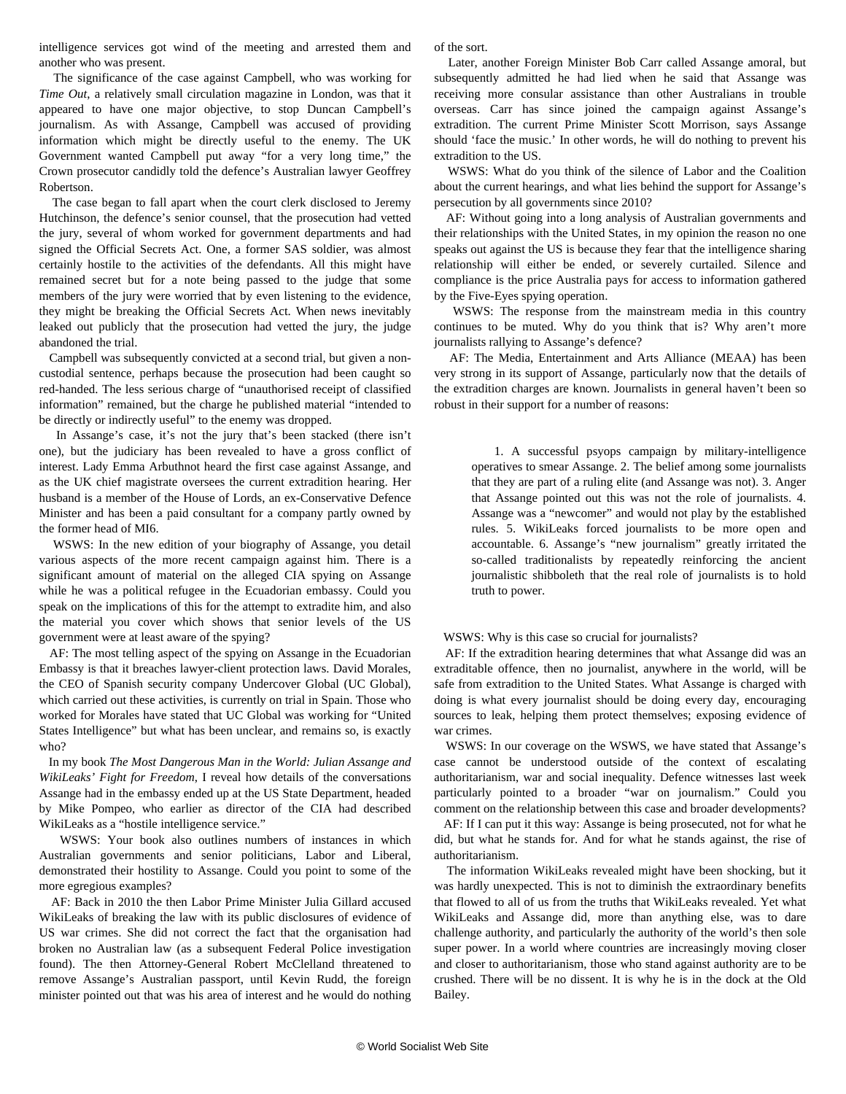intelligence services got wind of the meeting and arrested them and another who was present.

 The significance of the case against Campbell, who was working for *Time Out*, a relatively small circulation magazine in London, was that it appeared to have one major objective, to stop Duncan Campbell's journalism. As with Assange, Campbell was accused of providing information which might be directly useful to the enemy. The UK Government wanted Campbell put away "for a very long time," the Crown prosecutor candidly told the defence's Australian lawyer Geoffrey Robertson.

 The case began to fall apart when the court clerk disclosed to Jeremy Hutchinson, the defence's senior counsel, that the prosecution had vetted the jury, several of whom worked for government departments and had signed the Official Secrets Act. One, a former SAS soldier, was almost certainly hostile to the activities of the defendants. All this might have remained secret but for a note being passed to the judge that some members of the jury were worried that by even listening to the evidence, they might be breaking the Official Secrets Act. When news inevitably leaked out publicly that the prosecution had vetted the jury, the judge abandoned the trial.

 Campbell was subsequently convicted at a second trial, but given a noncustodial sentence, perhaps because the prosecution had been caught so red-handed. The less serious charge of "unauthorised receipt of classified information" remained, but the charge he published material "intended to be directly or indirectly useful" to the enemy was dropped.

 In Assange's case, it's not the jury that's been stacked (there isn't one), but the judiciary has been revealed to have a gross conflict of interest. Lady Emma Arbuthnot heard the first case against Assange, and as the UK chief magistrate oversees the current extradition hearing. Her husband is a member of the House of Lords, an ex-Conservative Defence Minister and has been a paid consultant for a company partly owned by the former head of MI6.

 WSWS: In the new edition of your biography of Assange, you detail various aspects of the more recent campaign against him. There is a significant amount of material on the alleged CIA spying on Assange while he was a political refugee in the Ecuadorian embassy. Could you speak on the implications of this for the attempt to extradite him, and also the material you cover which shows that senior levels of the US government were at least aware of the spying?

 AF: The most telling aspect of the spying on Assange in the Ecuadorian Embassy is that it breaches lawyer-client protection laws. David Morales, the CEO of Spanish security company Undercover Global (UC Global), which carried out these activities, is currently on trial in Spain. Those who worked for Morales have stated that UC Global was working for "United States Intelligence" but what has been unclear, and remains so, is exactly who?

 In my book *The Most Dangerous Man in the World: Julian Assange and WikiLeaks' Fight for Freedom*, I reveal how details of the conversations Assange had in the embassy ended up at the US State Department, headed by Mike Pompeo, who earlier as director of the CIA had described WikiLeaks as a "hostile intelligence service."

 WSWS: Your book also outlines numbers of instances in which Australian governments and senior politicians, Labor and Liberal, demonstrated their hostility to Assange. Could you point to some of the more egregious examples?

 AF: Back in 2010 the then Labor Prime Minister Julia Gillard accused WikiLeaks of breaking the law with its public disclosures of evidence of US war crimes. She did not correct the fact that the organisation had broken no Australian law (as a subsequent Federal Police investigation found). The then Attorney-General Robert McClelland threatened to remove Assange's Australian passport, until Kevin Rudd, the foreign minister pointed out that was his area of interest and he would do nothing

of the sort.

 Later, another Foreign Minister Bob Carr called Assange amoral, but subsequently admitted he had lied when he said that Assange was receiving more consular assistance than other Australians in trouble overseas. Carr has since joined the campaign against Assange's extradition. The current Prime Minister Scott Morrison, says Assange should 'face the music.' In other words, he will do nothing to prevent his extradition to the US.

 WSWS: What do you think of the silence of Labor and the Coalition about the current hearings, and what lies behind the support for Assange's persecution by all governments since 2010?

 AF: Without going into a long analysis of Australian governments and their relationships with the United States, in my opinion the reason no one speaks out against the US is because they fear that the intelligence sharing relationship will either be ended, or severely curtailed. Silence and compliance is the price Australia pays for access to information gathered by the Five-Eyes spying operation.

 WSWS: The response from the mainstream media in this country continues to be muted. Why do you think that is? Why aren't more journalists rallying to Assange's defence?

 AF: The Media, Entertainment and Arts Alliance (MEAA) has been very strong in its support of Assange, particularly now that the details of the extradition charges are known. Journalists in general haven't been so robust in their support for a number of reasons:

 1. A successful psyops campaign by military-intelligence operatives to smear Assange. 2. The belief among some journalists that they are part of a ruling elite (and Assange was not). 3. Anger that Assange pointed out this was not the role of journalists. 4. Assange was a "newcomer" and would not play by the established rules. 5. WikiLeaks forced journalists to be more open and accountable. 6. Assange's "new journalism" greatly irritated the so-called traditionalists by repeatedly reinforcing the ancient journalistic shibboleth that the real role of journalists is to hold truth to power.

WSWS: Why is this case so crucial for journalists?

 AF: If the extradition hearing determines that what Assange did was an extraditable offence, then no journalist, anywhere in the world, will be safe from extradition to the United States. What Assange is charged with doing is what every journalist should be doing every day, encouraging sources to leak, helping them protect themselves; exposing evidence of war crimes.

 WSWS: In our coverage on the WSWS, we have stated that Assange's case cannot be understood outside of the context of escalating authoritarianism, war and social inequality. Defence witnesses last week particularly pointed to a broader "war on journalism." Could you comment on the relationship between this case and broader developments?

 AF: If I can put it this way: Assange is being prosecuted, not for what he did, but what he stands for. And for what he stands against, the rise of authoritarianism.

 The information WikiLeaks revealed might have been shocking, but it was hardly unexpected. This is not to diminish the extraordinary benefits that flowed to all of us from the truths that WikiLeaks revealed. Yet what WikiLeaks and Assange did, more than anything else, was to dare challenge authority, and particularly the authority of the world's then sole super power. In a world where countries are increasingly moving closer and closer to authoritarianism, those who stand against authority are to be crushed. There will be no dissent. It is why he is in the dock at the Old Bailey.